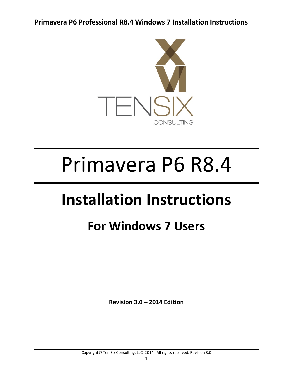

# Primavera P6 R8.4

## **Installation Instructions**

### **For Windows 7 Users**

**Revision 3.0 – 2014 Edition**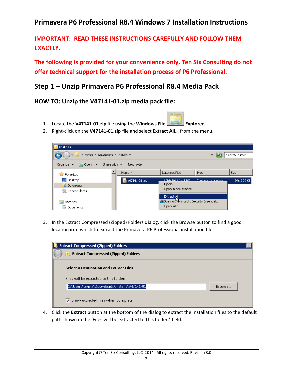**IMPORTANT: READ THESE INSTRUCTIONS CAREFULLY AND FOLLOW THEM** EXACTLY.

**The following is provided for your convenience only. Ten Six Consulting do not offer technical support for the installation process of P6 Professional.** 

#### **Step 1 – Unzip Primavera P6 Professional R8.4 Media Pack**

**HOW TO: Unzip the V47141‐01.zip media pack file:**

- 1. Locate the **V47141‐01.zip** file using the **Windows File Explorer**.
- 2. Right‐click on the **V47141‐01.zip** file and select **Extract All…** from the menu.



**Sign** 

3. In the Extract Compressed (Zipped) Folders dialog, click the Browse button to find a good location into which to extract the Primavera P6 Professional installation files.

| <b>Extract Compressed (Zipped) Folders</b>         |        |
|----------------------------------------------------|--------|
| <b>Extract Compressed (Zipped) Folders</b>         |        |
|                                                    |        |
| Select a Destination and Extract Files             |        |
| Files will be extracted to this folder:            |        |
| C:\Users\tensix\Downloads\Installs\V47141-01       | Browse |
| $\triangledown$ Show extracted files when complete |        |

4. Click the **Extract** button at the bottom of the dialog to extract the installation files to the default path shown in the 'Files will be extracted to this folder:' field.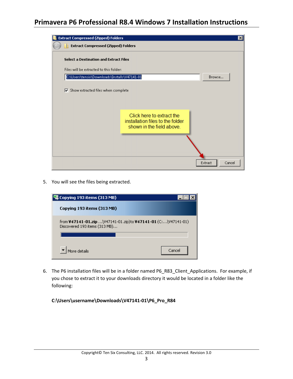| <b>Extract Compressed (Zipped) Folders</b>         |                                                               | ×      |
|----------------------------------------------------|---------------------------------------------------------------|--------|
| <b>Extract Compressed (Zipped) Folders</b>         |                                                               |        |
| <b>Select a Destination and Extract Files</b>      |                                                               |        |
| Files will be extracted to this folder:            |                                                               |        |
| C:\Users\tensix\Downloads\Installs\V47141-01       |                                                               | Browse |
| $\triangledown$ Show extracted files when complete | Click here to extract the<br>installation files to the folder |        |
|                                                    | shown in the field above.<br>Extract                          | Cancel |

5. You will see the files being extracted.



6. The P6 installation files will be in a folder named P6\_R83\_Client\_Applications. For example, if you chose to extract it to your downloads directory it would be located in a folder like the following:

**C:\Users\username\Downloads\V47141‐01\P6\_Pro\_R84**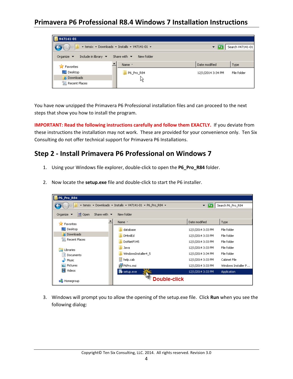

You have now unzipped the Primavera P6 Professional installation files and can proceed to the next steps that show you how to install the program.

**IMPORTANT: Read the following instructions carefully and follow them EXACTLY.** If you deviate from these instructions the installation may not work. These are provided for your convenience only. Ten Six Consulting do not offer technical support for Primavera P6 Installations.

#### **Step 2 ‐ Install Primavera P6 Professional on Windows 7**

- 1. Using your Windows file explorer, double‐click to open the **P6\_Pro\_R84** folder.
- 2. Now locate the **setup.exe** file and double‐click to start the P6 installer.

| P6_Pro_R84                                                                                                  |                     |                   |                     |
|-------------------------------------------------------------------------------------------------------------|---------------------|-------------------|---------------------|
| * tensix * Downloads * Installs * V47141-01 * P6_Pro_R84 *<br>Search P6_Pro_R84<br>$\overline{\phantom{a}}$ |                     |                   |                     |
| Share with $\blacktriangledown$<br>Organize $\blacktriangledown$<br>园 Open<br>New folder                    |                     |                   |                     |
| <b>X</b> Favorites                                                                                          | Name -              | Date modified     | Type                |
| $\Box$ Desktop                                                                                              | database            | 12/1/2014 3:33 PM | File folder         |
| <b>D</b> Downloads                                                                                          | DHtmlEd             | 12/1/2014 3:33 PM | File folder         |
| 圖 Recent Places                                                                                             | DotNetFX45          | 12/1/2014 3:33 PM | File folder         |
| <b>Libraries</b>                                                                                            | Java                | 12/1/2014 3:33 PM | File folder         |
| Documents                                                                                                   | WindowsInstaller4 5 | 12/1/2014 3:34 PM | File folder         |
| Music                                                                                                       | help.cab<br>Ħ       | 12/1/2014 3:33 PM | Cabinet File        |
| Pictures                                                                                                    | is P6Pro.msi        | 12/1/2014 3:33 PM | Windows Installer P |
| Ħ<br>Videos                                                                                                 | setup.exe           | 12/1/2014 3:33 PM | <b>Application</b>  |
| Homegroup                                                                                                   | Double-click        |                   |                     |

3. Windows will prompt you to allow the opening of the setup.exe file. Click **Run** when you see the following dialog: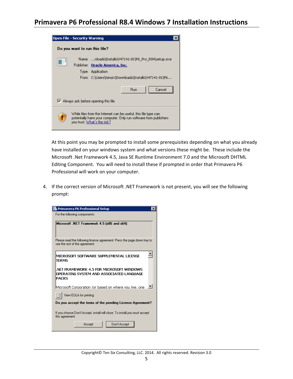| Open File - Security Warning                                                                                                                                               |                                                                              |  |
|----------------------------------------------------------------------------------------------------------------------------------------------------------------------------|------------------------------------------------------------------------------|--|
| Do you want to run this file?                                                                                                                                              |                                                                              |  |
| nloads\Installs\V47141-01\P6_Pro_R84\setup.exe<br>Name: I<br>Publisher: Oracle America, Inc.<br>Type: Application<br>From: C:\Users\tensix\Downloads\Installs\V47141-01\P6 |                                                                              |  |
|                                                                                                                                                                            | Cancel<br><b>Run</b><br>$\triangleright$ Always ask before opening this file |  |
| While files from the Internet can be useful, this file type can<br>potentially harm your computer. Only run software from publishers.<br>you trust. What's the risk?       |                                                                              |  |

At this point you may be prompted to install some prerequisites depending on what you already have installed on your windows system and what versions these might be. These include the Microsoft .Net Framework 4.5, Java SE Runtime Environment 7.0 and the Microsoft DHTML Editing Component. You will need to install these if prompted in order that Primavera P6 Professional will work on your computer.

4. If the correct version of Microsoft .NET Framework is not present, you will see the following prompt:

| Primavera P6 Professional Setup<br>$\times$                                                               |  |  |
|-----------------------------------------------------------------------------------------------------------|--|--|
| For the following components:                                                                             |  |  |
| Microsoft .NET Framework 4.5 [x86 and x64]                                                                |  |  |
| Please read the following license agreement. Press the page down key to<br>see the rest of the agreement. |  |  |
| MICROSOFT SOFTWARE SUPPLEMENTAL LICENSE<br><b>TERMS</b>                                                   |  |  |
| .NET FRAMEWORK 4.5 FOR MICROSOFT WINDOWS<br>OPERATING SYSTEM AND ASSOCIATED LANGUAGE<br>PACKS             |  |  |
| Microsoft Corporation (or based on where you live, one                                                    |  |  |
| View EULA for printing                                                                                    |  |  |
| Do you accept the terms of the pending License Agreement?                                                 |  |  |
| If you choose Don't Accept, install will close. To install you must accept<br>this agreement.             |  |  |
| Don't Accept<br>Accept                                                                                    |  |  |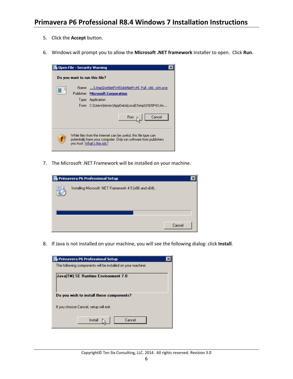- 5. Click the **Accept** button.
- 6. Windows will prompt you to allow the **Microsoft .NET framework** installer to open. Click **Run**.



7. The Microsoft .NET Framework will be installed on your machine.

| Primavera P6 Professional Setup |                                                       |        |  |
|---------------------------------|-------------------------------------------------------|--------|--|
|                                 | Installing Microsoft .NET Framework 4.5 (x86 and x64) |        |  |
|                                 |                                                       |        |  |
|                                 |                                                       |        |  |
|                                 |                                                       | Cancel |  |

8. If Java is not installed on your machine, you will see the following dialog: click **Install**.

| Primavera P6 Professional Setup                             |  |  |
|-------------------------------------------------------------|--|--|
| The following components will be installed on your machine: |  |  |
| Java(TM) SE Runtime Environment 7.0                         |  |  |
| Do you wish to install these components?                    |  |  |
| If you choose Cancel, setup will exit.                      |  |  |
| Cancel<br>Install                                           |  |  |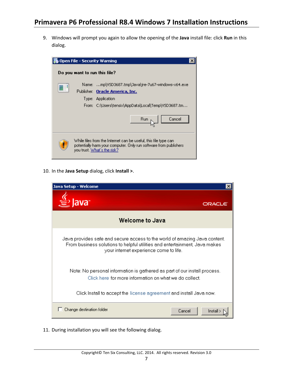9. Windows will prompt you again to allow the opening of the **Java** install file: click **Run** in this dialog.



10. In the **Java Setup** dialog, click **Install >**.

| Java Setup - Welcome                                                                                                                                                                               |  |
|----------------------------------------------------------------------------------------------------------------------------------------------------------------------------------------------------|--|
| Java <sup>-</sup><br><b>ORACL6</b>                                                                                                                                                                 |  |
| <b>Welcome to Java</b>                                                                                                                                                                             |  |
| Java provides safe and secure access to the world of amazing Java content.<br>From business solutions to helpful utilities and entertainment, Java makes<br>your internet experience come to life. |  |
| Note: No personal information is gathered as part of our install process.<br>Click here for more information on what we do collect.                                                                |  |
| Click Install to accept the license agreement and install Java now.                                                                                                                                |  |
| Change destination folder<br>Cancel<br>Install                                                                                                                                                     |  |

11. During installation you will see the following dialog.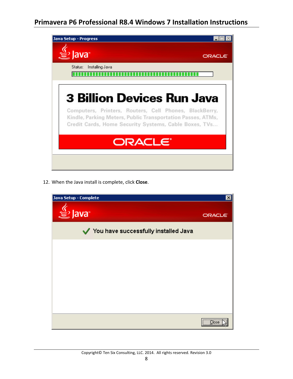| Java Setup - Progress                                                                                                                                                          |               |
|--------------------------------------------------------------------------------------------------------------------------------------------------------------------------------|---------------|
| $\cong$ lavar                                                                                                                                                                  | <b>ORACLE</b> |
| Installing Java<br>Status:                                                                                                                                                     |               |
| <b>3 Billion Devices Run Java</b>                                                                                                                                              |               |
| Computers, Printers, Routers, Cell Phones, BlackBerry,<br>Kindle, Parking Meters, Public Transportation Passes, ATMs,<br>Credit Cards, Home Security Systems, Cable Boxes, TVs |               |
| ORACLE <sup>®</sup>                                                                                                                                                            |               |
|                                                                                                                                                                                |               |

12. When the Java install is complete, click **Close**.

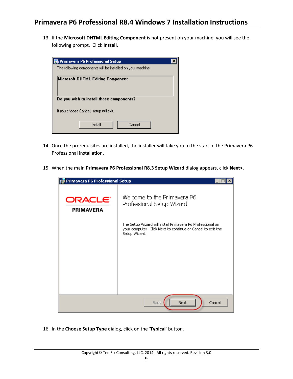13. If the **Microsoft DHTML Editing Component** is not present on your machine, you will see the following prompt. Click **Install**.

| <b>Primavera P6 Professional Setup</b>                      |  |  |
|-------------------------------------------------------------|--|--|
| The following components will be installed on your machine: |  |  |
| Microsoft DHTML Editing Component                           |  |  |
| Do you wish to install these components?                    |  |  |
| If you choose Cancel, setup will exit.                      |  |  |
| Install<br>Cancel                                           |  |  |

- 14. Once the prerequisites are installed, the installer will take you to the start of the Primavera P6 Professional installation.
- 15. When the main **Primavera P6 Professional R8.3 Setup Wizard** dialog appears, click **Next>**.



16. In the **Choose Setup Type** dialog, click on the '**Typical**' button.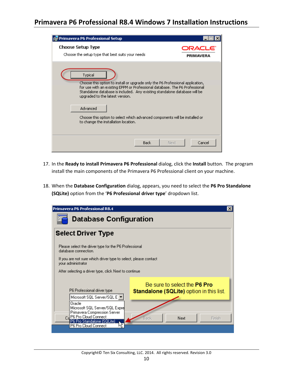| Primavera P6 Professional Setup                                                                                                                                                                                                                                                                                                                                                                                             |                     |
|-----------------------------------------------------------------------------------------------------------------------------------------------------------------------------------------------------------------------------------------------------------------------------------------------------------------------------------------------------------------------------------------------------------------------------|---------------------|
| <b>Choose Setup Type</b><br>Choose the setup type that best suits your needs                                                                                                                                                                                                                                                                                                                                                | ORACLE<br>PRIMAVERA |
| Typical<br>Choose this option to install or upgrade only the P6 Professional application,<br>for use with an existing EPPM or Professional database. The P6 Professional<br>Standalone database is included. Any existing standalone database will be<br>upgraded to the latest version.<br>Advanced<br>Choose this option to select which advanced components will be installed or<br>to change the installation location. |                     |
| <b>Back</b><br>Next                                                                                                                                                                                                                                                                                                                                                                                                         | Cancel              |

- 17. In the **Ready to install Primavera P6 Professional** dialog, click the **Install** button. The program install the main components of the Primavera P6 Professional client on your machine.
- 18. When the **Database Configuration** dialog, appears, you need to select the **P6 Pro Standalone (SQLite)** option from the '**P6 Professional driver type**' dropdown list.

| Primavera P6 Professional R8.4                                                                              | $\vert x \vert$                                                                        |  |
|-------------------------------------------------------------------------------------------------------------|----------------------------------------------------------------------------------------|--|
| <b>Database Configuration</b>                                                                               |                                                                                        |  |
| <b>Select Driver Type</b>                                                                                   |                                                                                        |  |
| Please select the driver type for the P6 Professional<br>database connection.                               |                                                                                        |  |
| If you are not sure which driver type to select, please contact<br>your administrator                       |                                                                                        |  |
| After selecting a driver type, click Next to continue                                                       |                                                                                        |  |
| P6 Professional driver type<br>Microsoft SQL Server/SQL E  ▼ <br>Oracle<br>Microsoft SQL Server/SQL Expre   | Be sure to select the <b>P6 Pro</b><br><b>Standalone (SQLite)</b> option in this list. |  |
| Primavera Compression Server<br>P6 Pro Cloud Connect<br>(P6 Pro Standalone (SQLite)<br>P6 Pro Cloud Connect | Next<br>Back.<br>Finish                                                                |  |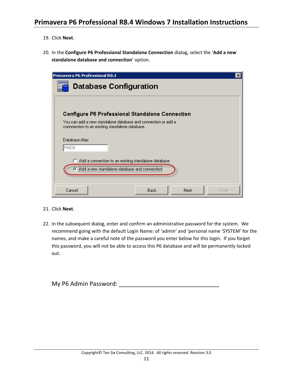- 19. Click **Next**.
- 20. In the **Configure P6 Professional Standalone Connection** dialog, select the '**Add a new standalone database and connection**' option.

| Primavera P6 Professional R8.4                                                                                   | $\boldsymbol{\mathsf{x}}$ |
|------------------------------------------------------------------------------------------------------------------|---------------------------|
| <b>Database Configuration</b>                                                                                    |                           |
| <b>Configure P6 Professional Standalone Connection</b>                                                           |                           |
| You can add a new standalone database and connection or add a<br>connnection to an existing standalone database. |                           |
| Database Alias<br><b>PMDB</b>                                                                                    |                           |
| Add a connection to an existing standalone database                                                              |                           |
| Add a new standalone database and connection                                                                     |                           |
| Cancel<br><b>Back</b><br>Next                                                                                    | Finish                    |

- 21. Click **Next**.
- 22. In the subsequent dialog, enter and confirm an administrative password for the system. We recommend going with the default Login Name: of 'admin' and 'personal name 'SYSTEM' for the names, and make a careful note of the password you enter below for this login. If you forget this password, you will not be able to access this P6 database and will be permanently locked out.

| My P6 Admin Password: |  |
|-----------------------|--|
|-----------------------|--|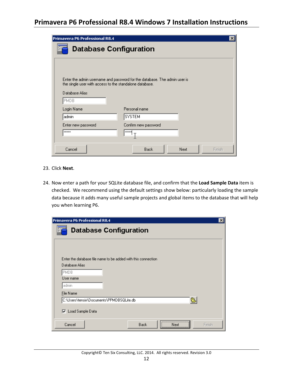| Primavera P6 Professional R8.4                          |                                                                           | ×      |
|---------------------------------------------------------|---------------------------------------------------------------------------|--------|
| <b>Database Configuration</b>                           |                                                                           |        |
|                                                         |                                                                           |        |
|                                                         |                                                                           |        |
| the single user with access to the standalone database. | Enter the admin username and password for the database. The admin user is |        |
| Database Alias                                          |                                                                           |        |
| <b>PMDB</b>                                             |                                                                           |        |
| Login Name                                              | Personal name                                                             |        |
| admin                                                   | SYSTEM                                                                    |        |
| Enter new password                                      | Confirm new password                                                      |        |
| <b>xxxxx</b>                                            | xxxxx                                                                     |        |
|                                                         |                                                                           |        |
| Cancel                                                  | Back<br>Next                                                              | Finish |

- 23. Click **Next**.
- 24. Now enter a path for your SQLite database file, and confirm that the **Load Sample Data** item is checked. We recommend using the default settings show below: particularly loading the sample data because it adds many useful sample projects and global items to the database that will help you when learning P6.

| Primavera P6 Professional R8.4                                                  |                        | $\vert x \vert$ |
|---------------------------------------------------------------------------------|------------------------|-----------------|
| <b>Database Configuration</b>                                                   |                        |                 |
|                                                                                 |                        |                 |
| Enter the database file name to be added with this connection<br>Database Alias |                        |                 |
| <b>PMDB</b><br>User name                                                        |                        |                 |
| admin                                                                           |                        |                 |
| File Name                                                                       |                        |                 |
| C:\Users\tensix\Documents\PPMDBSQLite.db                                        | ē                      |                 |
| <b>▽</b> Load Sample Data                                                       |                        |                 |
| Cancel                                                                          | Back<br>Finish<br>Next |                 |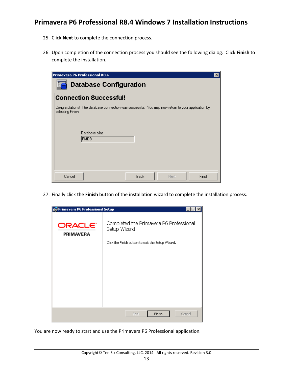- 25. Click **Next** to complete the connection process.
- 26. Upon completion of the connection process you should see the following dialog. Click **Finish** to complete the installation.

| Primavera P6 Professional R8.4                                                                                                                    |             |      | $\vert x \vert$ |
|---------------------------------------------------------------------------------------------------------------------------------------------------|-------------|------|-----------------|
| <b>Database Configuration</b><br>86                                                                                                               |             |      |                 |
| <b>Connection Successful!</b>                                                                                                                     |             |      |                 |
| Congratulations! The database connection was successful. You may now return to your application by<br>selecting Finish.<br>Database alias<br>PMDB |             |      |                 |
| Cancel                                                                                                                                            | <b>Back</b> | Next | Finish          |

27. Finally click the **Finish** button of the installation wizard to complete the installation process.

| Primavera P6 Professional Setup         |                                                                                                              |
|-----------------------------------------|--------------------------------------------------------------------------------------------------------------|
| ORACLE <sup>®</sup><br><b>PRIMAVERA</b> | Completed the Primavera P6 Professional<br>Setup Wizard<br>Click the Finish button to exit the Setup Wizard. |
|                                         |                                                                                                              |
|                                         | Finish<br>Cancel<br><b>Back</b>                                                                              |

You are now ready to start and use the Primavera P6 Professional application.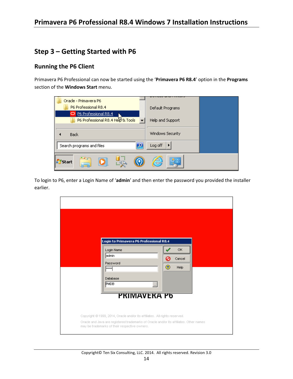#### **Step 3 – Getting Started with P6**

#### **Running the P6 Client**

Primavera P6 Professional can now be started using the '**Primavera P6 R8.4**' option in the **Programs** section of the **Windows Start** menu.

| Oracle - Primavera P6             |                  |
|-----------------------------------|------------------|
| P6 Professional R8.4              | Default Programs |
| <b>O</b> P6 Professional R8.4     |                  |
| P6 Professional R8.4 Help & Tools | Help and Support |
|                                   |                  |
| <b>Back</b>                       | Windows Security |
| Search programs and files         | Log off<br>▶     |
| Start                             | e<br>噐           |

To login to P6, enter a Login Name of '**admin**' and then enter the password you provided the installer earlier.

| Login to Primavera P6 Professional R8.4                                                                                                                                                                                               |               |                       |  |
|---------------------------------------------------------------------------------------------------------------------------------------------------------------------------------------------------------------------------------------|---------------|-----------------------|--|
| Login Name<br>admin<br>Password<br>$x***$<br>Database<br><b>PMDB</b><br>$\cdots$                                                                                                                                                      | $\circledast$ | OK.<br>Cancel<br>Help |  |
| PRIMAVERA P6<br>Copyright @ 1999, 2014, Oracle and/or its affiliates. All rights reserved.<br>Oracle and Java are registered trademarks of Oracle and/or its affiliates. Other names<br>may be trademarks of their respective owners. |               |                       |  |